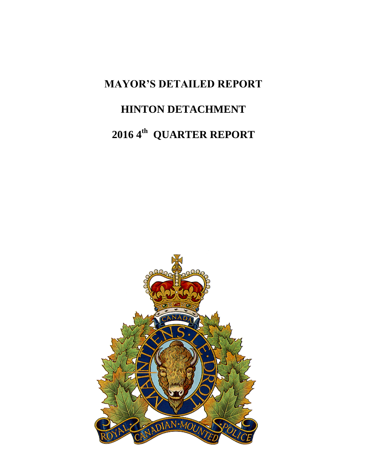### **MAYOR'S DETAILED REPORT**

## **HINTON DETACHMENT**

# 2016 4<sup>th</sup> QUARTER REPORT